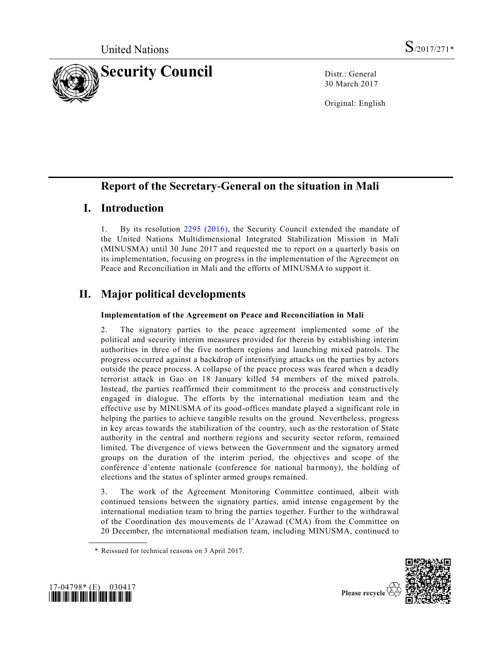

30 March 2017

Original: English

# **Report of the Secretary-General on the situation in Mali**

# **I. Introduction**

1. By its resolution [2295 \(2016\),](http://undocs.org/S/RES/2295(2016)) the Security Council extended the mandate of the United Nations Multidimensional Integrated Stabilization Mission in Mali (MINUSMA) until 30 June 2017 and requested me to report on a quarterly b asis on its implementation, focusing on progress in the implementation of the Agreement on Peace and Reconciliation in Mali and the efforts of MINUSMA to support it.

# **II. Major political developments**

### **Implementation of the Agreement on Peace and Reconciliation in Mali**

2. The signatory parties to the peace agreement implemented some of the political and security interim measures provided for therein by establishing interim authorities in three of the five northern regions and launching mixed patrols. The progress occurred against a backdrop of intensifying attacks on the parties by actors outside the peace process. A collapse of the peace process was feared when a deadly terrorist attack in Gao on 18 January killed 54 members of the mixed patrols. Instead, the parties reaffirmed their commitment to the process and constructively engaged in dialogue. The efforts by the international mediation team and the effective use by MINUSMA of its good-offices mandate played a significant role in helping the parties to achieve tangible results on the ground. Nevertheless, progress in key areas towards the stabilization of the country, such as the restoration of State authority in the central and northern regions and security sector reform, remained limited. The divergence of views between the Government and the signatory armed groups on the duration of the interim period, the objectives and scope of the conférence d'entente nationale (conference for national harmony), the holding of elections and the status of splinter armed groups remained.

3. The work of the Agreement Monitoring Committee continued, albeit with continued tensions between the signatory parties, amid intense engagement by the international mediation team to bring the parties together. Further to the withdrawal of the Coordination des mouvements de l'Azawad (CMA) from the Committee on 20 December, the international mediation team, including MINUSMA, continued to





<sup>\*</sup> Reissued for technical reasons on 3 April 2017.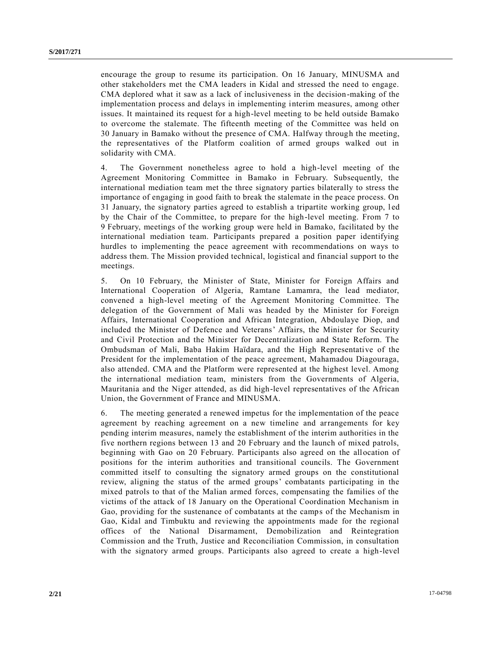encourage the group to resume its participation. On 16 January, MINUSMA and other stakeholders met the CMA leaders in Kidal and stressed the need to engage. CMA deplored what it saw as a lack of inclusiveness in the decision-making of the implementation process and delays in implementing interim measures, among other issues. It maintained its request for a high-level meeting to be held outside Bamako to overcome the stalemate. The fifteenth meeting of the Committee was held on 30 January in Bamako without the presence of CMA. Halfway through the meeting, the representatives of the Platform coalition of armed groups walked out in solidarity with CMA.

4. The Government nonetheless agree to hold a high-level meeting of the Agreement Monitoring Committee in Bamako in February. Subsequently, the international mediation team met the three signatory parties bilaterally to stress the importance of engaging in good faith to break the stalemate in the peace process. On 31 January, the signatory parties agreed to establish a tripartite working group, l ed by the Chair of the Committee, to prepare for the high-level meeting. From 7 to 9 February, meetings of the working group were held in Bamako, facilitated by the international mediation team. Participants prepared a position paper identifying hurdles to implementing the peace agreement with recommendations on ways to address them. The Mission provided technical, logistical and financial support to the meetings.

5. On 10 February, the Minister of State, Minister for Foreign Affairs and International Cooperation of Algeria, Ramtane Lamamra, the lead mediator, convened a high-level meeting of the Agreement Monitoring Committee. The delegation of the Government of Mali was headed by the Minister for Foreign Affairs, International Cooperation and African Integration, Abdoulaye Diop, and included the Minister of Defence and Veterans' Affairs, the Minister for Security and Civil Protection and the Minister for Decentralization and State Reform. The Ombudsman of Mali, Baba Hakim Haïdara, and the High Representative of the President for the implementation of the peace agreement, Mahamadou Diagouraga, also attended. CMA and the Platform were represented at the highest level. Among the international mediation team, ministers from the Governments of Algeria, Mauritania and the Niger attended, as did high-level representatives of the African Union, the Government of France and MINUSMA.

6. The meeting generated a renewed impetus for the implementation of the peace agreement by reaching agreement on a new timeline and arrangements for key pending interim measures, namely the establishment of the interim authorities in the five northern regions between 13 and 20 February and the launch of mixed patrols, beginning with Gao on 20 February. Participants also agreed on the allocation of positions for the interim authorities and transitional councils. The Government committed itself to consulting the signatory armed groups on the constitutional review, aligning the status of the armed groups' combatants participating in the mixed patrols to that of the Malian armed forces, compensating the families of the victims of the attack of 18 January on the Operational Coordination Mechanism in Gao, providing for the sustenance of combatants at the camps of the Mechanism in Gao, Kidal and Timbuktu and reviewing the appointments made for the regional offices of the National Disarmament, Demobilization and Reintegration Commission and the Truth, Justice and Reconciliation Commission, in consultation with the signatory armed groups. Participants also agreed to create a high-level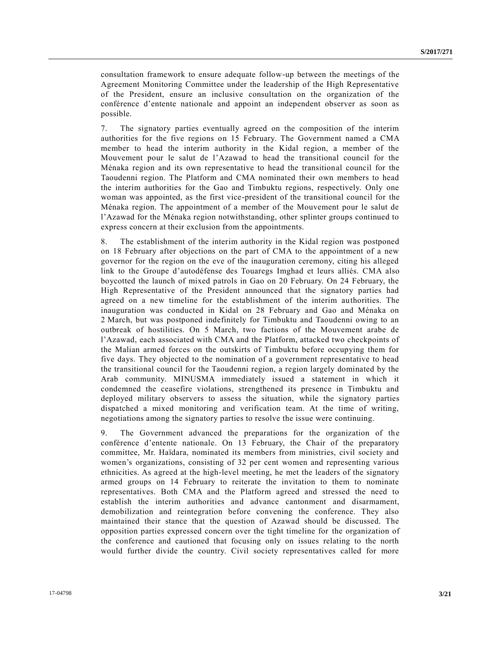consultation framework to ensure adequate follow-up between the meetings of the Agreement Monitoring Committee under the leadership of the High Representative of the President, ensure an inclusive consultation on the organization of the conférence d'entente nationale and appoint an independent observer as soon as possible.

7. The signatory parties eventually agreed on the composition of the interim authorities for the five regions on 15 February. The Government named a CMA member to head the interim authority in the Kidal region, a member of the Mouvement pour le salut de l'Azawad to head the transitional council for the Ménaka region and its own representative to head the transitional council for the Taoudenni region. The Platform and CMA nominated their own members to head the interim authorities for the Gao and Timbuktu regions, respectively. Only one woman was appointed, as the first vice-president of the transitional council for the Ménaka region. The appointment of a member of the Mouvement pour le salut de l'Azawad for the Ménaka region notwithstanding, other splinter groups continued to express concern at their exclusion from the appointments.

8. The establishment of the interim authority in the Kidal region was postponed on 18 February after objections on the part of CMA to the appointment of a new governor for the region on the eve of the inauguration ceremony, citing his alleged link to the Groupe d'autodéfense des Touaregs Imghad et leurs alliés. CMA also boycotted the launch of mixed patrols in Gao on 20 February. On 24 February, the High Representative of the President announced that the signatory parties had agreed on a new timeline for the establishment of the interim authorities. The inauguration was conducted in Kidal on 28 February and Gao and Ménaka on 2 March, but was postponed indefinitely for Timbuktu and Taoudenni owing to an outbreak of hostilities. On 5 March, two factions of the Mouvement arabe de l'Azawad, each associated with CMA and the Platform, attacked two checkpoints of the Malian armed forces on the outskirts of Timbuktu before occupying them for five days. They objected to the nomination of a government representative to head the transitional council for the Taoudenni region, a region largely dominated by the Arab community. MINUSMA immediately issued a statement in which it condemned the ceasefire violations, strengthened its presence in Timbuktu and deployed military observers to assess the situation, while the signatory parties dispatched a mixed monitoring and verification team. At the time of writing, negotiations among the signatory parties to resolve the issue were continuing.

9. The Government advanced the preparations for the organization of the conférence d'entente nationale. On 13 February, the Chair of the preparatory committee, Mr. Haïdara, nominated its members from ministries, civil society and women's organizations, consisting of 32 per cent women and representing various ethnicities. As agreed at the high-level meeting, he met the leaders of the signatory armed groups on 14 February to reiterate the invitation to them to nominate representatives. Both CMA and the Platform agreed and stressed the need to establish the interim authorities and advance cantonment and disarmament, demobilization and reintegration before convening the conference. They also maintained their stance that the question of Azawad should be discussed. The opposition parties expressed concern over the tight timeline for the organization of the conference and cautioned that focusing only on issues relating to the north would further divide the country. Civil society representatives called for more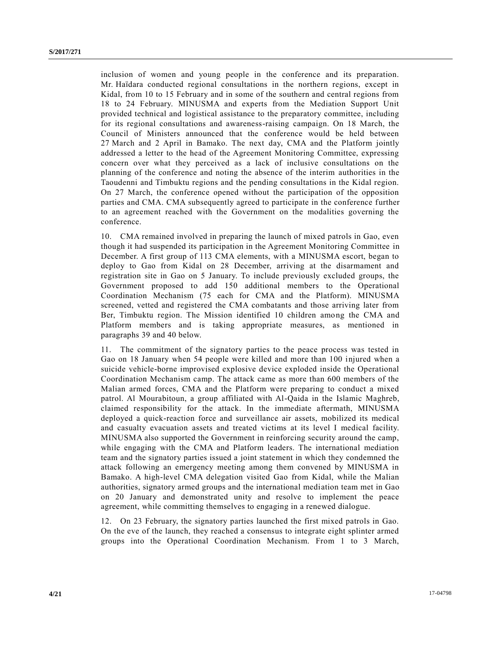inclusion of women and young people in the conference and its preparation. Mr. Haïdara conducted regional consultations in the northern regions, except in Kidal, from 10 to 15 February and in some of the southern and central regions from 18 to 24 February. MINUSMA and experts from the Mediation Support Unit provided technical and logistical assistance to the preparatory committee, including for its regional consultations and awareness-raising campaign. On 18 March, the Council of Ministers announced that the conference would be held between 27 March and 2 April in Bamako. The next day, CMA and the Platform jointly addressed a letter to the head of the Agreement Monitoring Committee, expressing concern over what they perceived as a lack of inclusive consultations on the planning of the conference and noting the absence of the interim authorities in the Taoudenni and Timbuktu regions and the pending consultations in the Kidal region. On 27 March, the conference opened without the participation of the opposition parties and CMA. CMA subsequently agreed to participate in the conference further to an agreement reached with the Government on the modalities governing the conference.

10. CMA remained involved in preparing the launch of mixed patrols in Gao, even though it had suspended its participation in the Agreement Monitoring Committee in December. A first group of 113 CMA elements, with a MINUSMA escort, began to deploy to Gao from Kidal on 28 December, arriving at the disarmament and registration site in Gao on 5 January. To include previously excluded groups, the Government proposed to add 150 additional members to the Operational Coordination Mechanism (75 each for CMA and the Platform). MINUSMA screened, vetted and registered the CMA combatants and those arriving later from Ber, Timbuktu region. The Mission identified 10 children among the CMA and Platform members and is taking appropriate measures, as mentioned in paragraphs 39 and 40 below.

11. The commitment of the signatory parties to the peace process was tested in Gao on 18 January when 54 people were killed and more than 100 injured when a suicide vehicle-borne improvised explosive device exploded inside the Operational Coordination Mechanism camp. The attack came as more than 600 members of the Malian armed forces, CMA and the Platform were preparing to conduct a mixed patrol. Al Mourabitoun, a group affiliated with Al-Qaida in the Islamic Maghreb, claimed responsibility for the attack. In the immediate aftermath, MINUSMA deployed a quick-reaction force and surveillance air assets, mobilized its medical and casualty evacuation assets and treated victims at its level I medical facility. MINUSMA also supported the Government in reinforcing security around the camp, while engaging with the CMA and Platform leaders. The international mediation team and the signatory parties issued a joint statement in which they condemned the attack following an emergency meeting among them convened by MINUSMA in Bamako. A high-level CMA delegation visited Gao from Kidal, while the Malian authorities, signatory armed groups and the international mediation team met in Gao on 20 January and demonstrated unity and resolve to implement the peace agreement, while committing themselves to engaging in a renewed dialogue.

12. On 23 February, the signatory parties launched the first mixed patrols in Gao. On the eve of the launch, they reached a consensus to integrate eight splinter armed groups into the Operational Coordination Mechanism. From 1 to 3 March,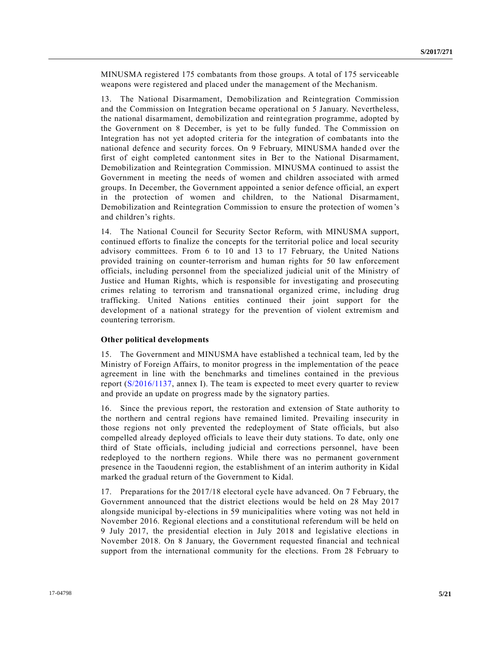MINUSMA registered 175 combatants from those groups. A total of 175 serviceable weapons were registered and placed under the management of the Mechanism.

13. The National Disarmament, Demobilization and Reintegration Commission and the Commission on Integration became operational on 5 January. Nevertheless, the national disarmament, demobilization and reintegration programme, adopted by the Government on 8 December, is yet to be fully funded. The Commission on Integration has not yet adopted criteria for the integration of combatants into the national defence and security forces. On 9 February, MINUSMA handed over the first of eight completed cantonment sites in Ber to the National Disarmament, Demobilization and Reintegration Commission. MINUSMA continued to assist the Government in meeting the needs of women and children associated with armed groups. In December, the Government appointed a senior defence official, an expert in the protection of women and children, to the National Disarmament, Demobilization and Reintegration Commission to ensure the protection of women's and children's rights.

14. The National Council for Security Sector Reform, with MINUSMA support, continued efforts to finalize the concepts for the territorial police and local security advisory committees. From 6 to 10 and 13 to 17 February, the United Nations provided training on counter-terrorism and human rights for 50 law enforcement officials, including personnel from the specialized judicial unit of the Ministry of Justice and Human Rights, which is responsible for investigating and prosecuting crimes relating to terrorism and transnational organized crime, including drug trafficking. United Nations entities continued their joint support for the development of a national strategy for the prevention of violent extremism and countering terrorism.

#### **Other political developments**

15. The Government and MINUSMA have established a technical team, led by the Ministry of Foreign Affairs, to monitor progress in the implementation of the peace agreement in line with the benchmarks and timelines contained in the previous report [\(S/2016/1137,](http://undocs.org/S/2016/1137) annex I). The team is expected to meet every quarter to review and provide an update on progress made by the signatory parties.

16. Since the previous report, the restoration and extension of State authority to the northern and central regions have remained limited. Prevailing insecurity in those regions not only prevented the redeployment of State officials, but also compelled already deployed officials to leave their duty stations. To date, only one third of State officials, including judicial and corrections personnel, have been redeployed to the northern regions. While there was no permanent government presence in the Taoudenni region, the establishment of an interim authority in Kidal marked the gradual return of the Government to Kidal.

17. Preparations for the 2017/18 electoral cycle have advanced. On 7 February, the Government announced that the district elections would be held on 28 May 2017 alongside municipal by-elections in 59 municipalities where voting was not held in November 2016. Regional elections and a constitutional referendum will be held on 9 July 2017, the presidential election in July 2018 and legislative elections in November 2018. On 8 January, the Government requested financial and technical support from the international community for the elections. From 28 February to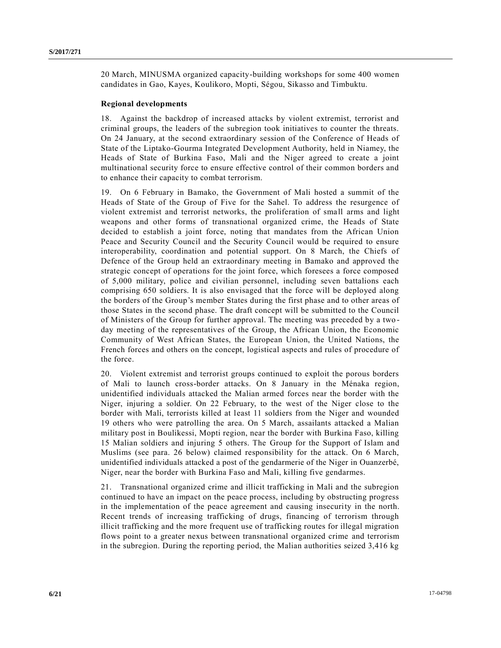20 March, MINUSMA organized capacity-building workshops for some 400 women candidates in Gao, Kayes, Koulikoro, Mopti, Ségou, Sikasso and Timbuktu.

#### **Regional developments**

18. Against the backdrop of increased attacks by violent extremist, terrorist and criminal groups, the leaders of the subregion took initiatives to counter the threats. On 24 January, at the second extraordinary session of the Conference of Heads of State of the Liptako-Gourma Integrated Development Authority, held in Niamey, the Heads of State of Burkina Faso, Mali and the Niger agreed to create a joint multinational security force to ensure effective control of their common borders and to enhance their capacity to combat terrorism.

19. On 6 February in Bamako, the Government of Mali hosted a summit of the Heads of State of the Group of Five for the Sahel. To address the resurgence of violent extremist and terrorist networks, the proliferation of small arms and light weapons and other forms of transnational organized crime, the Heads of State decided to establish a joint force, noting that mandates from the African Union Peace and Security Council and the Security Council would be required to ensure interoperability, coordination and potential support. On 8 March, the Chiefs of Defence of the Group held an extraordinary meeting in Bamako and approved the strategic concept of operations for the joint force, which foresees a force composed of 5,000 military, police and civilian personnel, including seven battalions each comprising 650 soldiers. It is also envisaged that the force will be deployed along the borders of the Group's member States during the first phase and to other areas of those States in the second phase. The draft concept will be submitted to the Council of Ministers of the Group for further approval. The meeting was preceded by a two day meeting of the representatives of the Group, the African Union, the Economic Community of West African States, the European Union, the United Nations, the French forces and others on the concept, logistical aspects and rules of procedure of the force.

20. Violent extremist and terrorist groups continued to exploit the porous borders of Mali to launch cross-border attacks. On 8 January in the Ménaka region, unidentified individuals attacked the Malian armed forces near the border with the Niger, injuring a soldier. On 22 February, to the west of the Niger close to the border with Mali, terrorists killed at least 11 soldiers from the Niger and wounded 19 others who were patrolling the area. On 5 March, assailants attacked a Malian military post in Boulikessi, Mopti region, near the border with Burkina Faso, killing 15 Malian soldiers and injuring 5 others. The Group for the Support of Islam and Muslims (see para. 26 below) claimed responsibility for the attack. On 6 March, unidentified individuals attacked a post of the gendarmerie of the Niger in Ouanzerbé, Niger, near the border with Burkina Faso and Mali, killing five gendarmes.

21. Transnational organized crime and illicit trafficking in Mali and the subregion continued to have an impact on the peace process, including by obstructing progress in the implementation of the peace agreement and causing insecurity in the north. Recent trends of increasing trafficking of drugs, financing of terrorism through illicit trafficking and the more frequent use of trafficking routes for illegal migration flows point to a greater nexus between transnational organized crime and terrorism in the subregion. During the reporting period, the Malian authorities seized 3,416 kg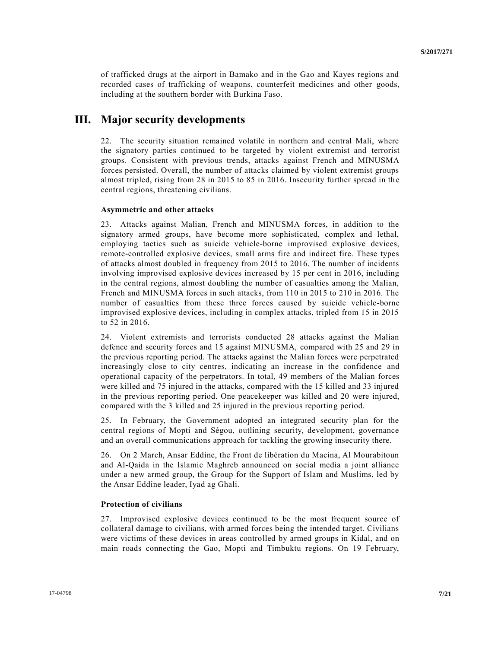of trafficked drugs at the airport in Bamako and in the Gao and Kayes regions and recorded cases of trafficking of weapons, counterfeit medicines and other goods, including at the southern border with Burkina Faso.

### **III. Major security developments**

22. The security situation remained volatile in northern and central Mali, where the signatory parties continued to be targeted by violent extremist and terrorist groups. Consistent with previous trends, attacks against French and MINUSMA forces persisted. Overall, the number of attacks claimed by violent extremist groups almost tripled, rising from 28 in 2015 to 85 in 2016. Insecurity further spread in the central regions, threatening civilians.

### **Asymmetric and other attacks**

23. Attacks against Malian, French and MINUSMA forces, in addition to the signatory armed groups, have become more sophisticated, complex and lethal, employing tactics such as suicide vehicle-borne improvised explosive devices, remote-controlled explosive devices, small arms fire and indirect fire. These types of attacks almost doubled in frequency from 2015 to 2016. The number of incidents involving improvised explosive devices increased by 15 per cent in 2016, including in the central regions, almost doubling the number of casualties among the Malian, French and MINUSMA forces in such attacks, from 110 in 2015 to 210 in 2016. The number of casualties from these three forces caused by suicide vehicle-borne improvised explosive devices, including in complex attacks, tripled from 15 in 2015 to 52 in 2016.

24. Violent extremists and terrorists conducted 28 attacks against the Malian defence and security forces and 15 against MINUSMA, compared with 25 and 29 in the previous reporting period. The attacks against the Malian forces were perpetrated increasingly close to city centres, indicating an increase in the confidence and operational capacity of the perpetrators. In total, 49 members of the Malian forces were killed and 75 injured in the attacks, compared with the 15 killed and 33 injured in the previous reporting period. One peacekeeper was killed and 20 were injured, compared with the 3 killed and 25 injured in the previous reporting period.

25. In February, the Government adopted an integrated security plan for the central regions of Mopti and Ségou, outlining security, development, governance and an overall communications approach for tackling the growing insecurity there.

26. On 2 March, Ansar Eddine, the Front de libération du Macina, Al Mourabitoun and Al-Qaida in the Islamic Maghreb announced on social media a joint alliance under a new armed group, the Group for the Support of Islam and Muslims, led by the Ansar Eddine leader, Iyad ag Ghali.

### **Protection of civilians**

27. Improvised explosive devices continued to be the most frequent source of collateral damage to civilians, with armed forces being the intended target. Civilians were victims of these devices in areas controlled by armed groups in Kidal, and on main roads connecting the Gao, Mopti and Timbuktu regions. On 19 February,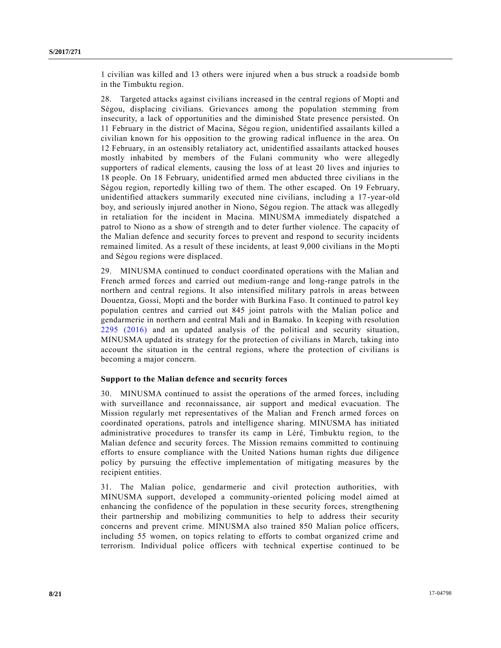1 civilian was killed and 13 others were injured when a bus struck a roadside bomb in the Timbuktu region.

28. Targeted attacks against civilians increased in the central regions of Mopti and Ségou, displacing civilians. Grievances among the population stemming from insecurity, a lack of opportunities and the diminished State presence persisted. On 11 February in the district of Macina, Ségou region, unidentified assailants killed a civilian known for his opposition to the growing radical influence in the area. On 12 February, in an ostensibly retaliatory act, unidentified assailants attacked houses mostly inhabited by members of the Fulani community who were allegedly supporters of radical elements, causing the loss of at least 20 lives and injuries to 18 people. On 18 February, unidentified armed men abducted three civilians in the Ségou region, reportedly killing two of them. The other escaped. On 19 February, unidentified attackers summarily executed nine civilians, including a 17-year-old boy, and seriously injured another in Niono, Ségou region. The attack was allegedly in retaliation for the incident in Macina. MINUSMA immediately dispatched a patrol to Niono as a show of strength and to deter further violence. The capacity of the Malian defence and security forces to prevent and respond to security incidents remained limited. As a result of these incidents, at least 9,000 civilians in the Mopti and Ségou regions were displaced.

29. MINUSMA continued to conduct coordinated operations with the Malian and French armed forces and carried out medium-range and long-range patrols in the northern and central regions. It also intensified military patrols in areas between Douentza, Gossi, Mopti and the border with Burkina Faso. It continued to patrol key population centres and carried out 845 joint patrols with the Malian police and gendarmerie in northern and central Mali and in Bamako. In keeping with resolution [2295 \(2016\)](http://undocs.org/S/RES/2295(2016)) and an updated analysis of the political and security situation, MINUSMA updated its strategy for the protection of civilians in March, taking into account the situation in the central regions, where the protection of civilians is becoming a major concern.

### **Support to the Malian defence and security forces**

30. MINUSMA continued to assist the operations of the armed forces, including with surveillance and reconnaissance, air support and medical evacuation. The Mission regularly met representatives of the Malian and French armed forces on coordinated operations, patrols and intelligence sharing. MINUSMA has initiated administrative procedures to transfer its camp in Léré, Timbuktu region, to the Malian defence and security forces. The Mission remains committed to continuing efforts to ensure compliance with the United Nations human rights due diligence policy by pursuing the effective implementation of mitigating measures by the recipient entities.

31. The Malian police, gendarmerie and civil protection authorities, with MINUSMA support, developed a community-oriented policing model aimed at enhancing the confidence of the population in these security forces, strengthening their partnership and mobilizing communities to help to address their security concerns and prevent crime. MINUSMA also trained 850 Malian police officers, including 55 women, on topics relating to efforts to combat organized crime and terrorism. Individual police officers with technical expertise continued to be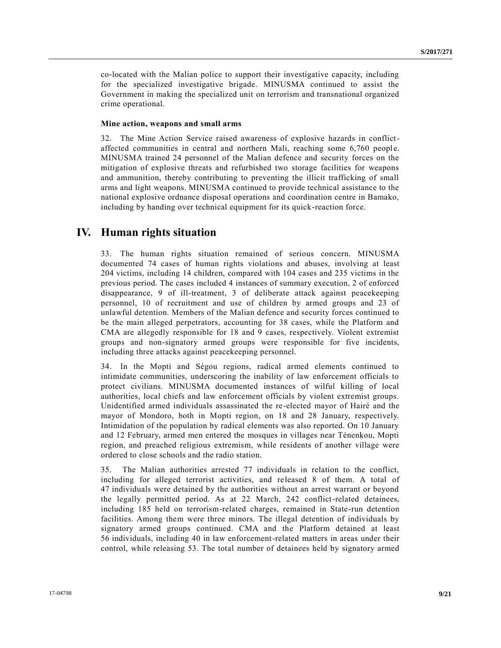co-located with the Malian police to support their investigative capacity, including for the specialized investigative brigade. MINUSMA continued to assist the Government in making the specialized unit on terrorism and transnational organized crime operational.

#### **Mine action, weapons and small arms**

32. The Mine Action Service raised awareness of explosive hazards in conflictaffected communities in central and northern Mali, reaching some 6,760 people. MINUSMA trained 24 personnel of the Malian defence and security forces on the mitigation of explosive threats and refurbished two storage facilities for weapons and ammunition, thereby contributing to preventing the illicit trafficking of small arms and light weapons. MINUSMA continued to provide technical assistance to the national explosive ordnance disposal operations and coordination centre in Bamako, including by handing over technical equipment for its quick-reaction force.

### **IV. Human rights situation**

33. The human rights situation remained of serious concern. MINUSMA documented 74 cases of human rights violations and abuses, involving at least 204 victims, including 14 children, compared with 104 cases and 235 victims in the previous period. The cases included 4 instances of summary execution, 2 of enforced disappearance, 9 of ill-treatment, 3 of deliberate attack against peacekeeping personnel, 10 of recruitment and use of children by armed groups and 23 of unlawful detention. Members of the Malian defence and security forces continued to be the main alleged perpetrators, accounting for 38 cases, while the Platform and CMA are allegedly responsible for 18 and 9 cases, respectively. Violent extremist groups and non-signatory armed groups were responsible for five incidents, including three attacks against peacekeeping personnel.

34. In the Mopti and Ségou regions, radical armed elements continued to intimidate communities, underscoring the inability of law enforcement officials to protect civilians. MINUSMA documented instances of wilful killing of local authorities, local chiefs and law enforcement officials by violent extremist groups. Unidentified armed individuals assassinated the re-elected mayor of Hairé and the mayor of Mondoro, both in Mopti region, on 18 and 28 January, respectively. Intimidation of the population by radical elements was also reported. On 10 January and 12 February, armed men entered the mosques in villages near Ténenkou, Mopti region, and preached religious extremism, while residents of another village were ordered to close schools and the radio station.

35. The Malian authorities arrested 77 individuals in relation to the conflict, including for alleged terrorist activities, and released 8 of them. A total of 47 individuals were detained by the authorities without an arrest warrant or beyond the legally permitted period. As at 22 March, 242 conflict-related detainees, including 185 held on terrorism-related charges, remained in State-run detention facilities. Among them were three minors. The illegal detention of individuals by signatory armed groups continued. CMA and the Platform detained at least 56 individuals, including 40 in law enforcement-related matters in areas under their control, while releasing 53. The total number of detainees held by signatory armed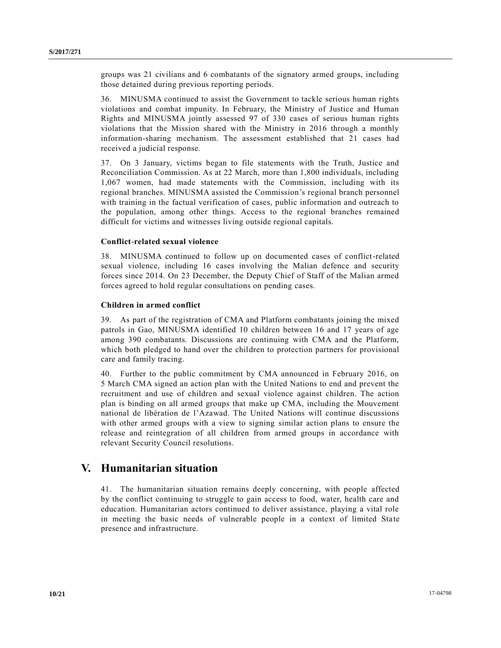groups was 21 civilians and 6 combatants of the signatory armed groups, including those detained during previous reporting periods.

36. MINUSMA continued to assist the Government to tackle serious human rights violations and combat impunity. In February, the Ministry of Justice and Human Rights and MINUSMA jointly assessed 97 of 330 cases of serious human rights violations that the Mission shared with the Ministry in 2016 through a monthly information-sharing mechanism. The assessment established that 21 cases had received a judicial response.

37. On 3 January, victims began to file statements with the Truth, Justice and Reconciliation Commission. As at 22 March, more than 1,800 individuals, including 1,067 women, had made statements with the Commission, including with its regional branches. MINUSMA assisted the Commission's regional branch personnel with training in the factual verification of cases, public information and outreach to the population, among other things. Access to the regional branches remained difficult for victims and witnesses living outside regional capitals.

### **Conflict-related sexual violence**

38. MINUSMA continued to follow up on documented cases of conflict-related sexual violence, including 16 cases involving the Malian defence and security forces since 2014. On 23 December, the Deputy Chief of Staff of the Malian armed forces agreed to hold regular consultations on pending cases.

### **Children in armed conflict**

39. As part of the registration of CMA and Platform combatants joining the mixed patrols in Gao, MINUSMA identified 10 children between 16 and 17 years of age among 390 combatants. Discussions are continuing with CMA and the Platform, which both pledged to hand over the children to protection partners for provisional care and family tracing.

40. Further to the public commitment by CMA announced in February 2016, on 5 March CMA signed an action plan with the United Nations to end and prevent the recruitment and use of children and sexual violence against children. The action plan is binding on all armed groups that make up CMA, including the Mouvement national de libération de l'Azawad. The United Nations will continue discussions with other armed groups with a view to signing similar action plans to ensure the release and reintegration of all children from armed groups in accordance with relevant Security Council resolutions.

### **V. Humanitarian situation**

41. The humanitarian situation remains deeply concerning, with people affected by the conflict continuing to struggle to gain access to food, water, health care and education. Humanitarian actors continued to deliver assistance, playing a vital role in meeting the basic needs of vulnerable people in a context of limited State presence and infrastructure.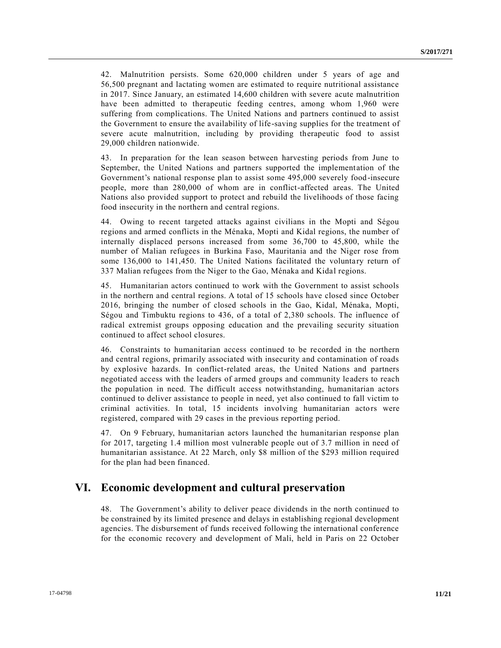42. Malnutrition persists. Some 620,000 children under 5 years of age and 56,500 pregnant and lactating women are estimated to require nutritional assistance in 2017. Since January, an estimated 14,600 children with severe acute malnutrition have been admitted to therapeutic feeding centres, among whom 1,960 were suffering from complications. The United Nations and partners continued to assist the Government to ensure the availability of life-saving supplies for the treatment of severe acute malnutrition, including by providing therapeutic food to assist 29,000 children nationwide.

43. In preparation for the lean season between harvesting periods from June to September, the United Nations and partners supported the implementation of the Government's national response plan to assist some 495,000 severely food-insecure people, more than 280,000 of whom are in conflict-affected areas. The United Nations also provided support to protect and rebuild the livelihoods of those facing food insecurity in the northern and central regions.

44. Owing to recent targeted attacks against civilians in the Mopti and Ségou regions and armed conflicts in the Ménaka, Mopti and Kidal regions, the number of internally displaced persons increased from some 36,700 to 45,800, while the number of Malian refugees in Burkina Faso, Mauritania and the Niger rose from some 136,000 to 141,450. The United Nations facilitated the voluntary return of 337 Malian refugees from the Niger to the Gao, Ménaka and Kidal regions.

45. Humanitarian actors continued to work with the Government to assist schools in the northern and central regions. A total of 15 schools have closed since October 2016, bringing the number of closed schools in the Gao, Kidal, Ménaka, Mopti, Ségou and Timbuktu regions to 436, of a total of 2,380 schools. The influence of radical extremist groups opposing education and the prevailing security situation continued to affect school closures.

46. Constraints to humanitarian access continued to be recorded in the northern and central regions, primarily associated with insecurity and contamination of roads by explosive hazards. In conflict-related areas, the United Nations and partners negotiated access with the leaders of armed groups and community le aders to reach the population in need. The difficult access notwithstanding, humanitarian actors continued to deliver assistance to people in need, yet also continued to fall victim to criminal activities. In total, 15 incidents involving humanitarian actors were registered, compared with 29 cases in the previous reporting period.

47. On 9 February, humanitarian actors launched the humanitarian response plan for 2017, targeting 1.4 million most vulnerable people out of 3.7 million in need of humanitarian assistance. At 22 March, only \$8 million of the \$293 million required for the plan had been financed.

### **VI. Economic development and cultural preservation**

48. The Government's ability to deliver peace dividends in the north continued to be constrained by its limited presence and delays in establishing regional development agencies. The disbursement of funds received following the international conference for the economic recovery and development of Mali, held in Paris on 22 October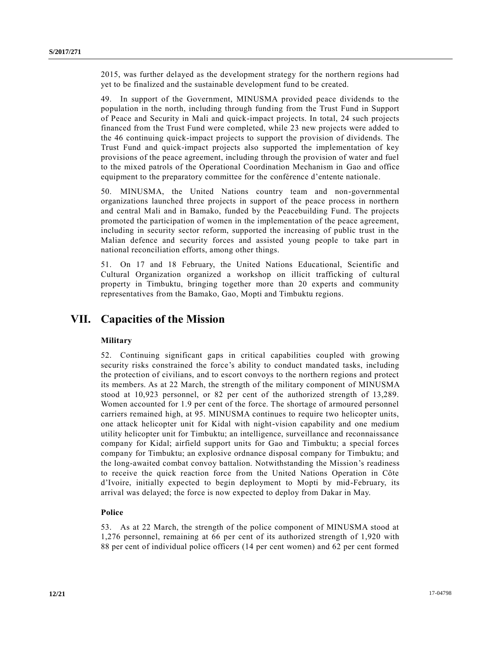2015, was further delayed as the development strategy for the northern regions had yet to be finalized and the sustainable development fund to be created.

49. In support of the Government, MINUSMA provided peace dividends to the population in the north, including through funding from the Trust Fund in Support of Peace and Security in Mali and quick-impact projects. In total, 24 such projects financed from the Trust Fund were completed, while 23 new projects were added to the 46 continuing quick-impact projects to support the provision of dividends. The Trust Fund and quick-impact projects also supported the implementation of key provisions of the peace agreement, including through the provision of water and fuel to the mixed patrols of the Operational Coordination Mechanism in Gao and office equipment to the preparatory committee for the conférence d'entente nationale.

50. MINUSMA, the United Nations country team and non-governmental organizations launched three projects in support of the peace process in northern and central Mali and in Bamako, funded by the Peacebuilding Fund. The projects promoted the participation of women in the implementation of the peace agreement, including in security sector reform, supported the increasing of public trust in the Malian defence and security forces and assisted young people to take part in national reconciliation efforts, among other things.

51. On 17 and 18 February, the United Nations Educational, Scientific and Cultural Organization organized a workshop on illicit trafficking of cultural property in Timbuktu, bringing together more than 20 experts and community representatives from the Bamako, Gao, Mopti and Timbuktu regions.

### **VII. Capacities of the Mission**

### **Military**

52. Continuing significant gaps in critical capabilities coupled with growing security risks constrained the force's ability to conduct mandated tasks, including the protection of civilians, and to escort convoys to the northern regions and protect its members. As at 22 March, the strength of the military component of MINUSMA stood at 10,923 personnel, or 82 per cent of the authorized strength of 13,289. Women accounted for 1.9 per cent of the force. The shortage of armoured personnel carriers remained high, at 95. MINUSMA continues to require two helicopter units, one attack helicopter unit for Kidal with night-vision capability and one medium utility helicopter unit for Timbuktu; an intelligence, surveillance and reconnaissance company for Kidal; airfield support units for Gao and Timbuktu; a special forces company for Timbuktu; an explosive ordnance disposal company for Timbuktu; and the long-awaited combat convoy battalion. Notwithstanding the Mission's readiness to receive the quick reaction force from the United Nations Operation in Côte d'Ivoire, initially expected to begin deployment to Mopti by mid-February, its arrival was delayed; the force is now expected to deploy from Dakar in May.

### **Police**

53. As at 22 March, the strength of the police component of MINUSMA stood at 1,276 personnel, remaining at 66 per cent of its authorized strength of 1,920 with 88 per cent of individual police officers (14 per cent women) and 62 per cent formed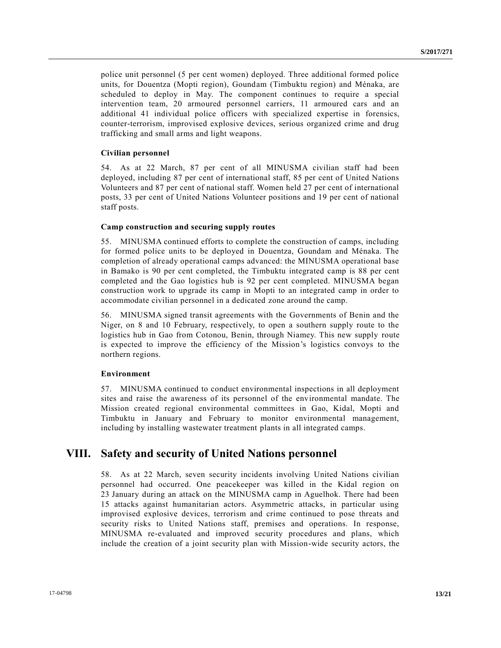police unit personnel (5 per cent women) deployed. Three additional formed police units, for Douentza (Mopti region), Goundam (Timbuktu region) and Ménaka, are scheduled to deploy in May. The component continues to require a special intervention team, 20 armoured personnel carriers, 11 armoured cars and an additional 41 individual police officers with specialized expertise in forensics, counter-terrorism, improvised explosive devices, serious organized crime and drug trafficking and small arms and light weapons.

### **Civilian personnel**

54. As at 22 March, 87 per cent of all MINUSMA civilian staff had been deployed, including 87 per cent of international staff, 85 per cent of United Nations Volunteers and 87 per cent of national staff. Women held 27 per cent of international posts, 33 per cent of United Nations Volunteer positions and 19 per cent of national staff posts.

#### **Camp construction and securing supply routes**

55. MINUSMA continued efforts to complete the construction of camps, including for formed police units to be deployed in Douentza, Goundam and Ménaka. The completion of already operational camps advanced: the MINUSMA operational base in Bamako is 90 per cent completed, the Timbuktu integrated camp is 88 per cent completed and the Gao logistics hub is 92 per cent completed. MINUSMA began construction work to upgrade its camp in Mopti to an integrated camp in order to accommodate civilian personnel in a dedicated zone around the camp.

56. MINUSMA signed transit agreements with the Governments of Benin and the Niger, on 8 and 10 February, respectively, to open a southern supply route to the logistics hub in Gao from Cotonou, Benin, through Niamey. This new supply route is expected to improve the efficiency of the Mission's logistics convoys to the northern regions.

#### **Environment**

57. MINUSMA continued to conduct environmental inspections in all deployment sites and raise the awareness of its personnel of the environmental mandate. The Mission created regional environmental committees in Gao, Kidal, Mopti and Timbuktu in January and February to monitor environmental management, including by installing wastewater treatment plants in all integrated camps.

### **VIII. Safety and security of United Nations personnel**

58. As at 22 March, seven security incidents involving United Nations civilian personnel had occurred. One peacekeeper was killed in the Kidal region on 23 January during an attack on the MINUSMA camp in Aguelhok. There had been 15 attacks against humanitarian actors. Asymmetric attacks, in particular using improvised explosive devices, terrorism and crime continued to pose threats and security risks to United Nations staff, premises and operations. In response, MINUSMA re-evaluated and improved security procedures and plans, which include the creation of a joint security plan with Mission-wide security actors, the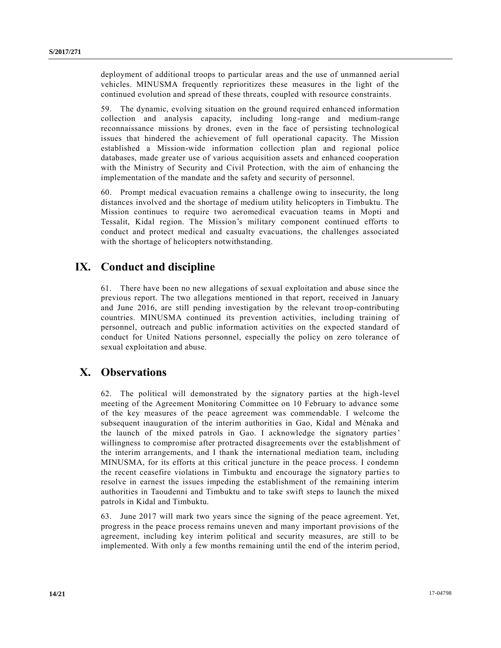deployment of additional troops to particular areas and the use of unmanned aerial vehicles. MINUSMA frequently reprioritizes these measures in the light of the continued evolution and spread of these threats, coupled with resource constraints.

59. The dynamic, evolving situation on the ground required enhanced information collection and analysis capacity, including long-range and medium-range reconnaissance missions by drones, even in the face of persisting technological issues that hindered the achievement of full operational capacity. The Mission established a Mission-wide information collection plan and regional police databases, made greater use of various acquisition assets and enhanced cooperation with the Ministry of Security and Civil Protection, with the aim of enhancing the implementation of the mandate and the safety and security of personnel.

60. Prompt medical evacuation remains a challenge owing to insecurity, the long distances involved and the shortage of medium utility helicopters in Timbuktu. The Mission continues to require two aeromedical evacuation teams in Mopti and Tessalit, Kidal region. The Mission's military component continued efforts to conduct and protect medical and casualty evacuations, the challenges associated with the shortage of helicopters notwithstanding.

# **IX. Conduct and discipline**

61. There have been no new allegations of sexual exploitation and abuse since the previous report. The two allegations mentioned in that report, received in January and June 2016, are still pending investigation by the relevant troop-contributing countries. MINUSMA continued its prevention activities, including training of personnel, outreach and public information activities on the expected standard of conduct for United Nations personnel, especially the policy on zero tolerance of sexual exploitation and abuse.

# **X. Observations**

62. The political will demonstrated by the signatory parties at the high-level meeting of the Agreement Monitoring Committee on 10 February to advance some of the key measures of the peace agreement was commendable. I welcome the subsequent inauguration of the interim authorities in Gao, Kidal and Ménaka and the launch of the mixed patrols in Gao. I acknowledge the signatory parties' willingness to compromise after protracted disagreements over the establishment of the interim arrangements, and I thank the international mediation team, including MINUSMA, for its efforts at this critical juncture in the peace process. I condemn the recent ceasefire violations in Timbuktu and encourage the signatory parties to resolve in earnest the issues impeding the establishment of the remaining interim authorities in Taoudenni and Timbuktu and to take swift steps to launch the mixed patrols in Kidal and Timbuktu.

63. June 2017 will mark two years since the signing of the peace agreement. Yet, progress in the peace process remains uneven and many important provisions of the agreement, including key interim political and security measures, are still to be implemented. With only a few months remaining until the end of the interim period,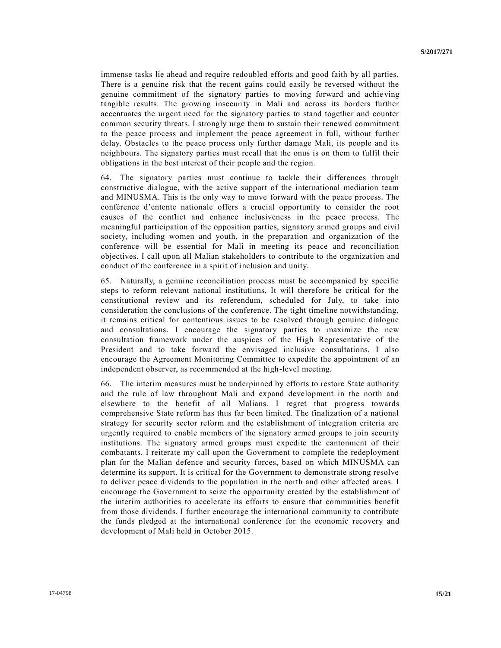immense tasks lie ahead and require redoubled efforts and good faith by all parties. There is a genuine risk that the recent gains could easily be reversed without the genuine commitment of the signatory parties to moving forward and achieving tangible results. The growing insecurity in Mali and across its borders further accentuates the urgent need for the signatory parties to stand together and counter common security threats. I strongly urge them to sustain their renewed commitment to the peace process and implement the peace agreement in full, without further delay. Obstacles to the peace process only further damage Mali, its people and its neighbours. The signatory parties must recall that the onus is on them to fulfil their obligations in the best interest of their people and the region.

64. The signatory parties must continue to tackle their differences through constructive dialogue, with the active support of the international mediation team and MINUSMA. This is the only way to move forward with the peace process. The conférence d'entente nationale offers a crucial opportunity to consider the root causes of the conflict and enhance inclusiveness in the peace process. The meaningful participation of the opposition parties, signatory armed groups and civil society, including women and youth, in the preparation and organization of the conference will be essential for Mali in meeting its peace and reconciliation objectives. I call upon all Malian stakeholders to contribute to the organization and conduct of the conference in a spirit of inclusion and unity.

65. Naturally, a genuine reconciliation process must be accompanied by specific steps to reform relevant national institutions. It will therefore be critical for the constitutional review and its referendum, scheduled for July, to take into consideration the conclusions of the conference. The tight timeline notwithstanding, it remains critical for contentious issues to be resolved through genuine dialogue and consultations. I encourage the signatory parties to maximize the new consultation framework under the auspices of the High Representative of the President and to take forward the envisaged inclusive consultations. I also encourage the Agreement Monitoring Committee to expedite the appointment of an independent observer, as recommended at the high-level meeting.

66. The interim measures must be underpinned by efforts to restore State authority and the rule of law throughout Mali and expand development in the north and elsewhere to the benefit of all Malians. I regret that progress towards comprehensive State reform has thus far been limited. The finalization of a national strategy for security sector reform and the establishment of integration criteria are urgently required to enable members of the signatory armed groups to join security institutions. The signatory armed groups must expedite the cantonment of their combatants. I reiterate my call upon the Government to complete the redeployment plan for the Malian defence and security forces, based on which MINUSMA can determine its support. It is critical for the Government to demonstrate strong resolve to deliver peace dividends to the population in the north and other affected areas. I encourage the Government to seize the opportunity created by the establishment of the interim authorities to accelerate its efforts to ensure that communities benefit from those dividends. I further encourage the international community to contribute the funds pledged at the international conference for the economic recovery and development of Mali held in October 2015.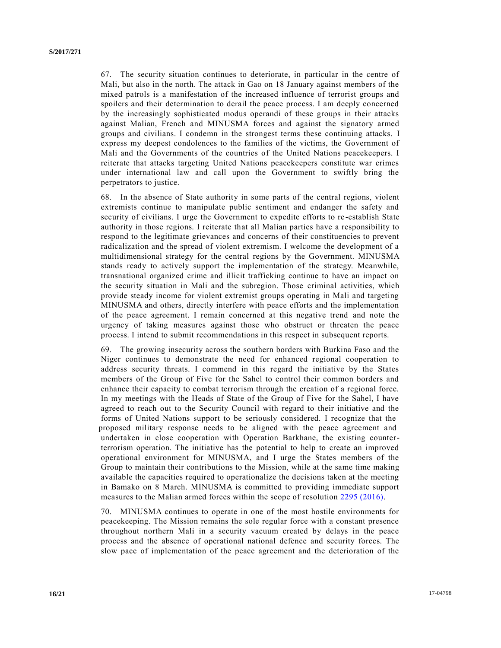67. The security situation continues to deteriorate, in particular in the centre of Mali, but also in the north. The attack in Gao on 18 January against members of the mixed patrols is a manifestation of the increased influence of terrorist groups and spoilers and their determination to derail the peace process. I am deeply concerned by the increasingly sophisticated modus operandi of these groups in their attacks against Malian, French and MINUSMA forces and against the signatory armed groups and civilians. I condemn in the strongest terms these continuing attacks. I express my deepest condolences to the families of the victims, the Government of Mali and the Governments of the countries of the United Nations peacekeepers. I reiterate that attacks targeting United Nations peacekeepers constitute war crimes under international law and call upon the Government to swiftly bring the perpetrators to justice.

68. In the absence of State authority in some parts of the central regions, violent extremists continue to manipulate public sentiment and endanger the safety and security of civilians. I urge the Government to expedite efforts to re -establish State authority in those regions. I reiterate that all Malian parties have a responsibility to respond to the legitimate grievances and concerns of their constituencies to prevent radicalization and the spread of violent extremism. I welcome the development of a multidimensional strategy for the central regions by the Government. MINUSMA stands ready to actively support the implementation of the strategy. Meanwhile, transnational organized crime and illicit trafficking continue to have an impact on the security situation in Mali and the subregion. Those criminal activities, which provide steady income for violent extremist groups operating in Mali and targeting MINUSMA and others, directly interfere with peace efforts and the implementation of the peace agreement. I remain concerned at this negative trend and note the urgency of taking measures against those who obstruct or threaten the peace process. I intend to submit recommendations in this respect in subsequent reports.

69. The growing insecurity across the southern borders with Burkina Faso and the Niger continues to demonstrate the need for enhanced regional cooperation to address security threats. I commend in this regard the initiative by the States members of the Group of Five for the Sahel to control their common borders and enhance their capacity to combat terrorism through the creation of a regional force. In my meetings with the Heads of State of the Group of Five for the Sahel, I have agreed to reach out to the Security Council with regard to their initiative and the forms of United Nations support to be seriously considered. I recognize that the proposed military response needs to be aligned with the peace agreement and undertaken in close cooperation with Operation Barkhane, the existing counterterrorism operation. The initiative has the potential to help to create an improved operational environment for MINUSMA, and I urge the States members of the Group to maintain their contributions to the Mission, while at the same time making available the capacities required to operationalize the decisions taken at the meeting in Bamako on 8 March. MINUSMA is committed to providing immediate support measures to the Malian armed forces within the scope of resolution [2295 \(2016\).](http://undocs.org/S/RES/2295(2016))

70. MINUSMA continues to operate in one of the most hostile environments for peacekeeping. The Mission remains the sole regular force with a constant presence throughout northern Mali in a security vacuum created by delays in the peace process and the absence of operational national defence and security forces. The slow pace of implementation of the peace agreement and the deterioration of the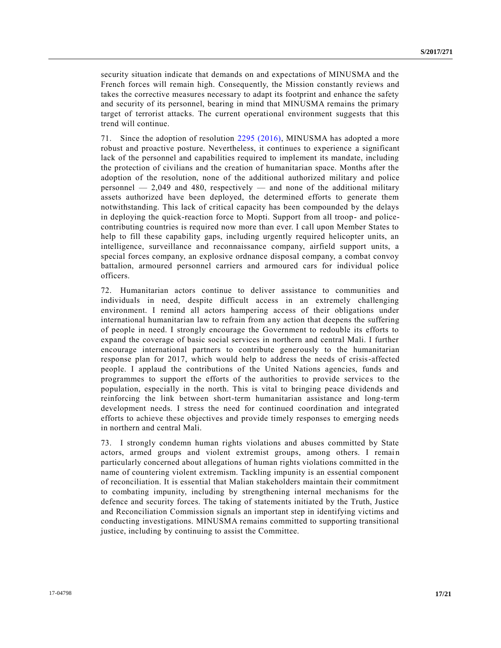security situation indicate that demands on and expectations of MINUSMA and the French forces will remain high. Consequently, the Mission constantly reviews and takes the corrective measures necessary to adapt its footprint and enhance the safety and security of its personnel, bearing in mind that MINUSMA remains the primary target of terrorist attacks. The current operational environment suggests that this trend will continue.

71. Since the adoption of resolution [2295 \(2016\),](http://undocs.org/S/RES/2295(2016)) MINUSMA has adopted a more robust and proactive posture. Nevertheless, it continues to experience a significant lack of the personnel and capabilities required to implement its mandate, including the protection of civilians and the creation of humanitarian space. Months after the adoption of the resolution, none of the additional authorized military and police personnel  $-2,049$  and 480, respectively  $-$  and none of the additional military assets authorized have been deployed, the determined efforts to generate them notwithstanding. This lack of critical capacity has been compounded by the delays in deploying the quick-reaction force to Mopti. Support from all troop- and policecontributing countries is required now more than ever. I call upon Member States to help to fill these capability gaps, including urgently required helicopter units, an intelligence, surveillance and reconnaissance company, airfield support units, a special forces company, an explosive ordnance disposal company, a combat convoy battalion, armoured personnel carriers and armoured cars for individual police officers.

72. Humanitarian actors continue to deliver assistance to communities and individuals in need, despite difficult access in an extremely challenging environment. I remind all actors hampering access of their obligations under international humanitarian law to refrain from any action that deepens the suffering of people in need. I strongly encourage the Government to redouble its efforts to expand the coverage of basic social services in northern and central Mali. I further encourage international partners to contribute generously to the humanitarian response plan for 2017, which would help to address the needs of crisis-affected people. I applaud the contributions of the United Nations agencies, funds and programmes to support the efforts of the authorities to provide service s to the population, especially in the north. This is vital to bringing peace dividends and reinforcing the link between short-term humanitarian assistance and long-term development needs. I stress the need for continued coordination and integrated efforts to achieve these objectives and provide timely responses to emerging needs in northern and central Mali.

73. I strongly condemn human rights violations and abuses committed by State actors, armed groups and violent extremist groups, among others. I remain particularly concerned about allegations of human rights violations committed in the name of countering violent extremism. Tackling impunity is an essential component of reconciliation. It is essential that Malian stakeholders maintain their commitment to combating impunity, including by strengthening internal mechanisms for the defence and security forces. The taking of statements initiated by the Truth, Justice and Reconciliation Commission signals an important step in identifying victims and conducting investigations. MINUSMA remains committed to supporting transitional justice, including by continuing to assist the Committee.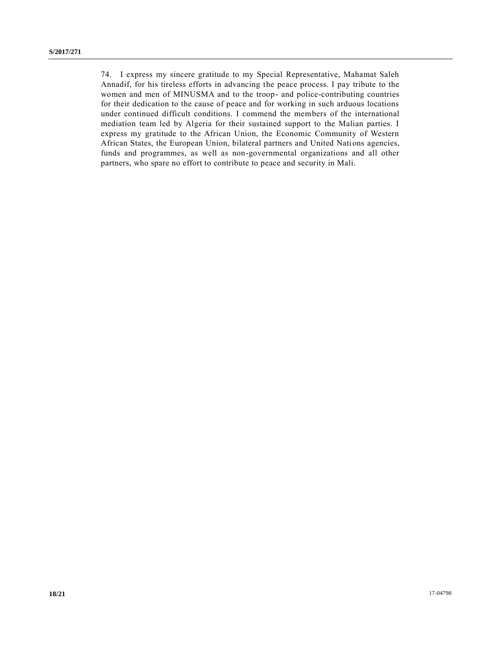74. I express my sincere gratitude to my Special Representative, Mahamat Saleh Annadif, for his tireless efforts in advancing the peace process. I pay tribute to the women and men of MINUSMA and to the troop- and police-contributing countries for their dedication to the cause of peace and for working in such arduous locations under continued difficult conditions. I commend the members of the international mediation team led by Algeria for their sustained support to the Malian parties. I express my gratitude to the African Union, the Economic Community of Western African States, the European Union, bilateral partners and United Nations agencies, funds and programmes, as well as non-governmental organizations and all other partners, who spare no effort to contribute to peace and security in Mali.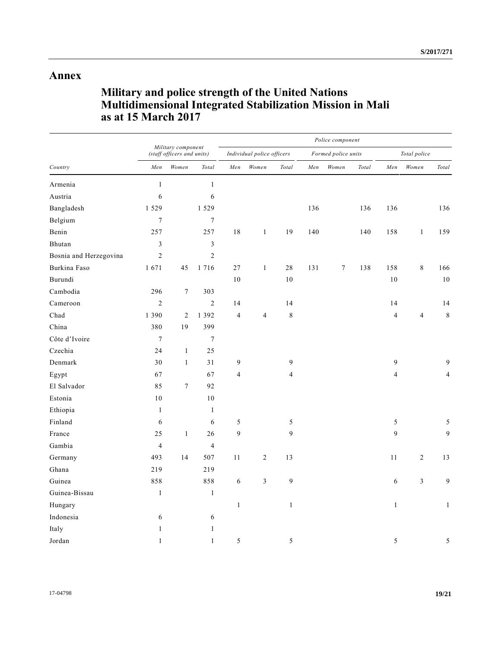## **Annex**

# **Military and police strength of the United Nations Multidimensional Integrated Stabilization Mission in Mali as at 15 March 2017**

| Country                | Military component<br>(staff officers and units) |                  |                  | Police component           |                |                |                     |                  |       |                |                |                        |  |
|------------------------|--------------------------------------------------|------------------|------------------|----------------------------|----------------|----------------|---------------------|------------------|-------|----------------|----------------|------------------------|--|
|                        |                                                  |                  |                  | Individual police officers |                |                | Formed police units |                  |       | Total police   |                |                        |  |
|                        | Men                                              | Women            | Total            | Men                        | Women          | Total          | Men                 | Women            | Total | Men            | Women          | $\operatorname{Total}$ |  |
| Armenia                | $\mathbf{1}$                                     |                  | $\mathbf{1}$     |                            |                |                |                     |                  |       |                |                |                        |  |
| Austria                | 6                                                |                  | 6                |                            |                |                |                     |                  |       |                |                |                        |  |
| Bangladesh             | 1 5 2 9                                          |                  | 1 5 2 9          |                            |                |                | 136                 |                  | 136   | 136            |                | 136                    |  |
| Belgium                | $\boldsymbol{7}$                                 |                  | $\boldsymbol{7}$ |                            |                |                |                     |                  |       |                |                |                        |  |
| Benin                  | 257                                              |                  | 257              | 18                         | $\,1$          | 19             | 140                 |                  | 140   | 158            | $\mathbf{1}$   | 159                    |  |
| Bhutan                 | $\mathfrak{Z}$                                   |                  | 3                |                            |                |                |                     |                  |       |                |                |                        |  |
| Bosnia and Herzegovina | $\sqrt{2}$                                       |                  | $\sqrt{2}$       |                            |                |                |                     |                  |       |                |                |                        |  |
| Burkina Faso           | 1671                                             | 45               | 1716             | 27                         | $\mathbf{1}$   | 28             | 131                 | $\boldsymbol{7}$ | 138   | 158            | $\,8\,$        | 166                    |  |
| Burundi                |                                                  |                  |                  | 10                         |                | 10             |                     |                  |       | 10             |                | $10\,$                 |  |
| Cambodia               | 296                                              | $\boldsymbol{7}$ | 303              |                            |                |                |                     |                  |       |                |                |                        |  |
| Cameroon               | $\overline{c}$                                   |                  | $\overline{c}$   | 14                         |                | 14             |                     |                  |       | 14             |                | 14                     |  |
| Chad                   | 1 3 9 0                                          | $\overline{2}$   | 1 3 9 2          | $\overline{4}$             | $\overline{4}$ | $\,$ $\,$      |                     |                  |       | $\overline{4}$ | $\overline{4}$ | $\,$ 8 $\,$            |  |
| China                  | 380                                              | 19               | 399              |                            |                |                |                     |                  |       |                |                |                        |  |
| Côte d'Ivoire          | $\boldsymbol{7}$                                 |                  | $\tau$           |                            |                |                |                     |                  |       |                |                |                        |  |
| Czechia                | 24                                               | $\mathbf{1}$     | 25               |                            |                |                |                     |                  |       |                |                |                        |  |
| Denmark                | 30                                               | $\mathbf{1}$     | 31               | 9                          |                | 9              |                     |                  |       | 9              |                | 9                      |  |
| Egypt                  | 67                                               |                  | 67               | $\overline{4}$             |                | $\overline{4}$ |                     |                  |       | $\overline{4}$ |                | $\overline{4}$         |  |
| El Salvador            | 85                                               | $\tau$           | 92               |                            |                |                |                     |                  |       |                |                |                        |  |
| Estonia                | 10                                               |                  | 10               |                            |                |                |                     |                  |       |                |                |                        |  |
| Ethiopia               | $\mathbf{1}$                                     |                  | $\mathbf{1}$     |                            |                |                |                     |                  |       |                |                |                        |  |
| Finland                | 6                                                |                  | 6                | 5                          |                | 5              |                     |                  |       | 5              |                | $\sqrt{5}$             |  |
| France                 | 25                                               | $\mathbf{1}$     | 26               | 9                          |                | 9              |                     |                  |       | 9              |                | 9                      |  |
| Gambia                 | $\overline{4}$                                   |                  | $\overline{4}$   |                            |                |                |                     |                  |       |                |                |                        |  |
| Germany                | 493                                              | 14               | 507              | 11                         | $\overline{c}$ | 13             |                     |                  |       | 11             | $\overline{c}$ | 13                     |  |
| Ghana                  | 219                                              |                  | 219              |                            |                |                |                     |                  |       |                |                |                        |  |
| Guinea                 | 858                                              |                  | 858              | 6                          | $\mathfrak{Z}$ | 9              |                     |                  |       | 6              | 3              | 9                      |  |
| Guinea-Bissau          | $\,1\,$                                          |                  | $\mathbf{1}$     |                            |                |                |                     |                  |       |                |                |                        |  |
| Hungary                |                                                  |                  |                  | $\mathbf{1}$               |                | $\mathbf{1}$   |                     |                  |       | $\mathbf{1}$   |                | $\mathbf{1}$           |  |
| Indonesia              | 6                                                |                  | 6                |                            |                |                |                     |                  |       |                |                |                        |  |
| Italy                  | $\mathbf{1}$                                     |                  | $\mathbf{1}$     |                            |                |                |                     |                  |       |                |                |                        |  |
| Jordan                 | $\mathbf{1}$                                     |                  | $\mathbf{1}$     | 5                          |                | 5              |                     |                  |       | 5              |                | 5                      |  |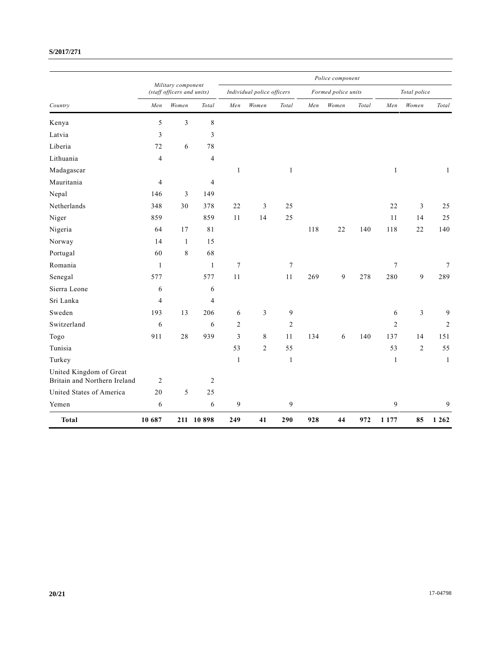### **S/2017/271**

|                                                         |                                                  |                |                | Police component           |                |                |                     |       |       |                  |                |              |  |
|---------------------------------------------------------|--------------------------------------------------|----------------|----------------|----------------------------|----------------|----------------|---------------------|-------|-------|------------------|----------------|--------------|--|
| Country                                                 | Military component<br>(staff officers and units) |                |                | Individual police officers |                |                | Formed police units |       |       | Total police     |                |              |  |
|                                                         | Men                                              | Women          | Total          | Men                        | Women          | Total          | Men                 | Women | Total | Men              | Women          | Total        |  |
| Kenya                                                   | 5                                                | $\overline{3}$ | 8              |                            |                |                |                     |       |       |                  |                |              |  |
| Latvia                                                  | $\overline{\mathbf{3}}$                          |                | 3              |                            |                |                |                     |       |       |                  |                |              |  |
| Liberia                                                 | 72                                               | 6              | 78             |                            |                |                |                     |       |       |                  |                |              |  |
| Lithuania                                               | $\overline{4}$                                   |                | 4              |                            |                |                |                     |       |       |                  |                |              |  |
| Madagascar                                              |                                                  |                |                | $\mathbf{1}$               |                | $\mathbf{1}$   |                     |       |       | $\mathbf{1}$     |                | $\mathbf{1}$ |  |
| Mauritania                                              | 4                                                |                | $\overline{4}$ |                            |                |                |                     |       |       |                  |                |              |  |
| Nepal                                                   | 146                                              | 3              | 149            |                            |                |                |                     |       |       |                  |                |              |  |
| Netherlands                                             | 348                                              | 30             | 378            | 22                         | 3              | 25             |                     |       |       | 22               | $\overline{3}$ | 25           |  |
| Niger                                                   | 859                                              |                | 859            | 11                         | 14             | 25             |                     |       |       | 11               | 14             | 25           |  |
| Nigeria                                                 | 64                                               | 17             | 81             |                            |                |                | 118                 | 22    | 140   | 118              | 22             | 140          |  |
| Norway                                                  | 14                                               | 1              | 15             |                            |                |                |                     |       |       |                  |                |              |  |
| Portugal                                                | 60                                               | 8              | 68             |                            |                |                |                     |       |       |                  |                |              |  |
| Romania                                                 | $\mathbf{1}$                                     |                | $\mathbf{1}$   | $\tau$                     |                | 7              |                     |       |       | $\tau$           |                | 7            |  |
| Senegal                                                 | 577                                              |                | 577            | 11                         |                | 11             | 269                 | 9     | 278   | 280              | 9              | 289          |  |
| Sierra Leone                                            | 6                                                |                | 6              |                            |                |                |                     |       |       |                  |                |              |  |
| Sri Lanka                                               | $\overline{4}$                                   |                | $\overline{4}$ |                            |                |                |                     |       |       |                  |                |              |  |
| Sweden                                                  | 193                                              | 13             | 206            | 6                          | 3              | 9              |                     |       |       | 6                | $\overline{3}$ | 9            |  |
| Switzerland                                             | 6                                                |                | 6              | $\overline{2}$             |                | $\overline{c}$ |                     |       |       | $\boldsymbol{2}$ |                | 2            |  |
| Togo                                                    | 911                                              | 28             | 939            | $\overline{3}$             | 8              | 11             | 134                 | 6     | 140   | 137              | 14             | 151          |  |
| Tunisia                                                 |                                                  |                |                | 53                         | $\overline{c}$ | 55             |                     |       |       | 53               | $\overline{2}$ | 55           |  |
| Turkey                                                  |                                                  |                |                | $\mathbf{1}$               |                | $\mathbf{1}$   |                     |       |       | $\mathbf{1}$     |                | $\mathbf{1}$ |  |
| United Kingdom of Great<br>Britain and Northern Ireland | $\overline{2}$                                   |                | $\overline{c}$ |                            |                |                |                     |       |       |                  |                |              |  |
| United States of America                                | 20                                               | 5              | 25             |                            |                |                |                     |       |       |                  |                |              |  |
| Yemen                                                   | 6                                                |                | 6              | $\overline{9}$             |                | 9              |                     |       |       | 9                |                | 9            |  |
| <b>Total</b>                                            | 10 687                                           |                | 211 10 898     | 249                        | 41             | 290            | 928                 | 44    | 972   | 1 1 7 7          | 85             | 1 2 6 2      |  |